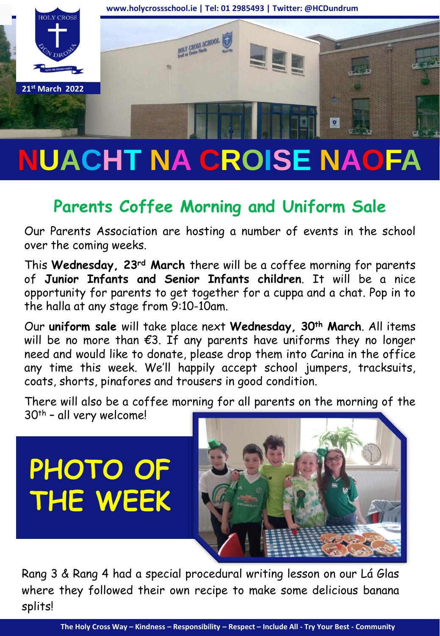

# **NUACHT NA CROISE NAOFA**

## **Parents Coffee Morning and Uniform Sale**

Our Parents Association are hosting a number of events in the school over the coming weeks.

This **Wednesday, 23rd March** there will be a coffee morning for parents of **Junior Infants and Senior Infants children**. It will be a nice opportunity for parents to get together for a cuppa and a chat. Pop in to the halla at any stage from 9:10-10am.

Our **uniform sale** will take place next **Wednesday, 30th March**. All items will be no more than  $E3$ . If any parents have uniforms they no longer need and would like to donate, please drop them into Carina in the office any time this week. We'll happily accept school jumpers, tracksuits, coats, shorts, pinafores and trousers in good condition.

There will also be a coffee morning for all parents on the morning of the 30th – all very welcome!

**PHOTO OF THE WEEK**



Rang 3 & Rang 4 had a special procedural writing lesson on our Lá Glas where they followed their own recipe to make some delicious banana splits!